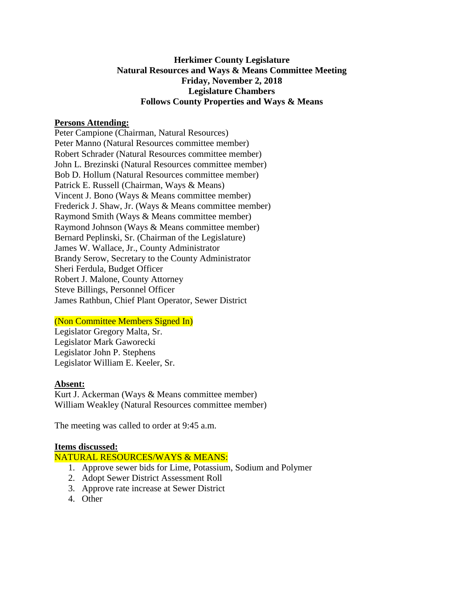# **Herkimer County Legislature Natural Resources and Ways & Means Committee Meeting Friday, November 2, 2018 Legislature Chambers Follows County Properties and Ways & Means**

### **Persons Attending:**

Peter Campione (Chairman, Natural Resources) Peter Manno (Natural Resources committee member) Robert Schrader (Natural Resources committee member) John L. Brezinski (Natural Resources committee member) Bob D. Hollum (Natural Resources committee member) Patrick E. Russell (Chairman, Ways & Means) Vincent J. Bono (Ways & Means committee member) Frederick J. Shaw, Jr. (Ways & Means committee member) Raymond Smith (Ways & Means committee member) Raymond Johnson (Ways & Means committee member) Bernard Peplinski, Sr. (Chairman of the Legislature) James W. Wallace, Jr., County Administrator Brandy Serow, Secretary to the County Administrator Sheri Ferdula, Budget Officer Robert J. Malone, County Attorney Steve Billings, Personnel Officer James Rathbun, Chief Plant Operator, Sewer District

### (Non Committee Members Signed In)

Legislator Gregory Malta, Sr. Legislator Mark Gaworecki Legislator John P. Stephens Legislator William E. Keeler, Sr.

#### **Absent:**

Kurt J. Ackerman (Ways & Means committee member) William Weakley (Natural Resources committee member)

The meeting was called to order at 9:45 a.m.

#### **Items discussed:**

#### NATURAL RESOURCES/WAYS & MEANS:

- 1. Approve sewer bids for Lime, Potassium, Sodium and Polymer
- 2. Adopt Sewer District Assessment Roll
- 3. Approve rate increase at Sewer District
- 4. Other